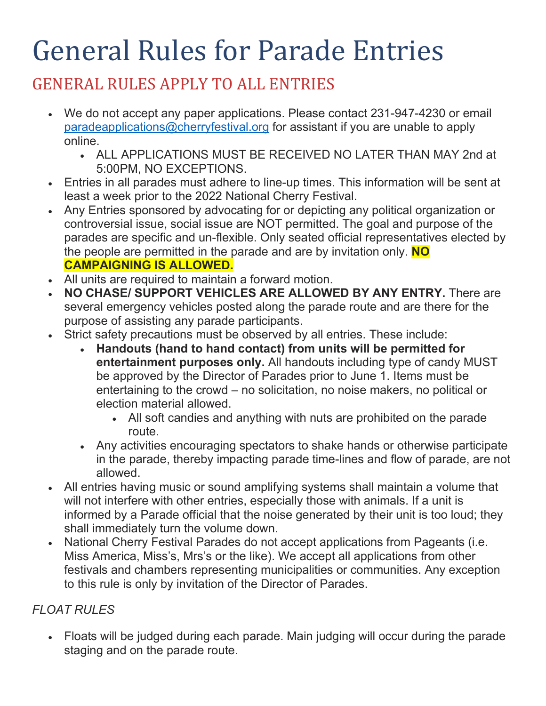# General Rules for Parade Entries

## GENERAL RULES APPLY TO ALL ENTRIES

- We do not accept any paper applications. Please contact 231-947-4230 or email [paradeapplications@cherryfestival.org](mailto:paradeapplications@cherryfestival.org) for assistant if you are unable to apply online.
	- ALL APPLICATIONS MUST BE RECEIVED NO LATER THAN MAY 2nd at 5:00PM, NO EXCEPTIONS.
- Entries in all parades must adhere to line-up times. This information will be sent at least a week prior to the 2022 National Cherry Festival.
- Any Entries sponsored by advocating for or depicting any political organization or controversial issue, social issue are NOT permitted. The goal and purpose of the parades are specific and un-flexible. Only seated official representatives elected by the people are permitted in the parade and are by invitation only. **NO CAMPAIGNING IS ALLOWED.**
- All units are required to maintain a forward motion.
- **NO CHASE/ SUPPORT VEHICLES ARE ALLOWED BY ANY ENTRY.** There are several emergency vehicles posted along the parade route and are there for the purpose of assisting any parade participants.
- Strict safety precautions must be observed by all entries. These include:
	- **Handouts (hand to hand contact) from units will be permitted for entertainment purposes only.** All handouts including type of candy MUST be approved by the Director of Parades prior to June 1. Items must be entertaining to the crowd – no solicitation, no noise makers, no political or election material allowed.
		- All soft candies and anything with nuts are prohibited on the parade route.
	- Any activities encouraging spectators to shake hands or otherwise participate in the parade, thereby impacting parade time-lines and flow of parade, are not allowed.
- All entries having music or sound amplifying systems shall maintain a volume that will not interfere with other entries, especially those with animals. If a unit is informed by a Parade official that the noise generated by their unit is too loud; they shall immediately turn the volume down.
- National Cherry Festival Parades do not accept applications from Pageants (i.e. Miss America, Miss's, Mrs's or the like). We accept all applications from other festivals and chambers representing municipalities or communities. Any exception to this rule is only by invitation of the Director of Parades.

## *FLOAT RULES*

• Floats will be judged during each parade. Main judging will occur during the parade staging and on the parade route.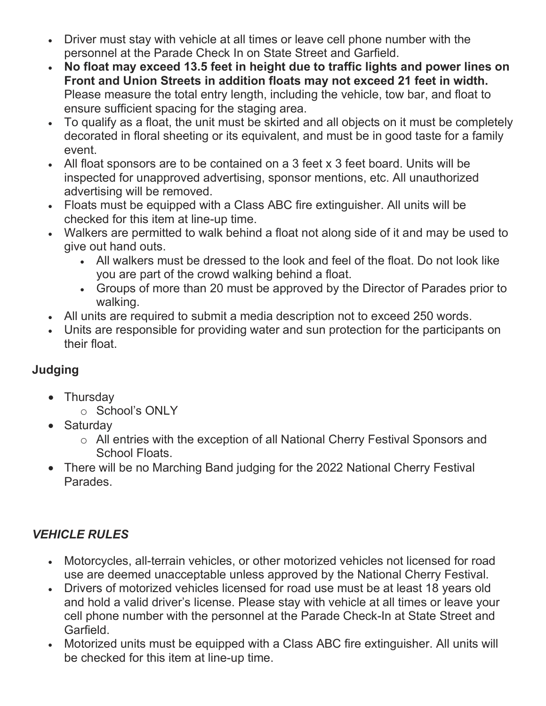- Driver must stay with vehicle at all times or leave cell phone number with the personnel at the Parade Check In on State Street and Garfield.
- **No float may exceed 13.5 feet in height due to traffic lights and power lines on Front and Union Streets in addition floats may not exceed 21 feet in width.** Please measure the total entry length, including the vehicle, tow bar, and float to ensure sufficient spacing for the staging area.
- To qualify as a float, the unit must be skirted and all objects on it must be completely decorated in floral sheeting or its equivalent, and must be in good taste for a family event.
- All float sponsors are to be contained on a 3 feet x 3 feet board. Units will be inspected for unapproved advertising, sponsor mentions, etc. All unauthorized advertising will be removed.
- Floats must be equipped with a Class ABC fire extinguisher. All units will be checked for this item at line-up time.
- Walkers are permitted to walk behind a float not along side of it and may be used to give out hand outs.
	- All walkers must be dressed to the look and feel of the float. Do not look like you are part of the crowd walking behind a float.
	- Groups of more than 20 must be approved by the Director of Parades prior to walking.
- All units are required to submit a media description not to exceed 250 words.
- Units are responsible for providing water and sun protection for the participants on their float.

## **Judging**

- Thursday
	- o School's ONLY
- Saturday
	- o All entries with the exception of all National Cherry Festival Sponsors and School Floats.
- There will be no Marching Band judging for the 2022 National Cherry Festival Parades.

## *VEHICLE RULES*

- Motorcycles, all-terrain vehicles, or other motorized vehicles not licensed for road use are deemed unacceptable unless approved by the National Cherry Festival.
- Drivers of motorized vehicles licensed for road use must be at least 18 years old and hold a valid driver's license. Please stay with vehicle at all times or leave your cell phone number with the personnel at the Parade Check-In at State Street and Garfield.
- Motorized units must be equipped with a Class ABC fire extinguisher. All units will be checked for this item at line-up time.